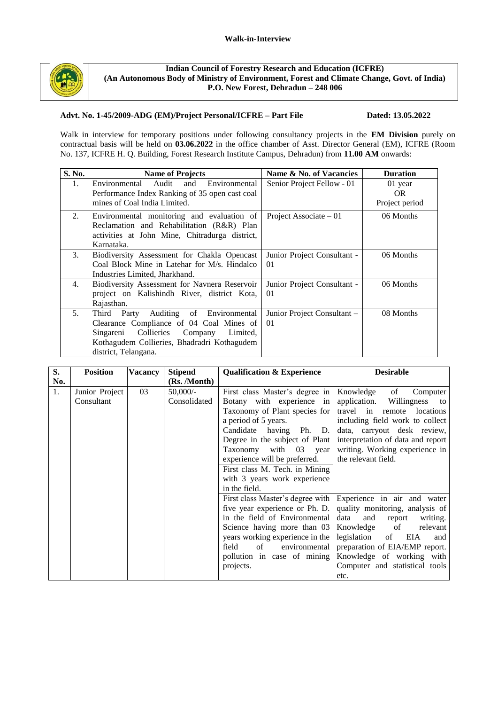

**Indian Council of Forestry Research and Education (ICFRE) (An Autonomous Body of Ministry of Environment, Forest and Climate Change, Govt. of India) P.O. New Forest, Dehradun – 248 006**

### **Advt. No. 1-45/2009-ADG (EM)/Project Personal/ICFRE – Part File Dated: 13.05.2022**

Walk in interview for temporary positions under following consultancy projects in the **EM Division** purely on contractual basis will be held on **03.06.2022** in the office chamber of Asst. Director General (EM), ICFRE (Room No. 137, ICFRE H. Q. Building, Forest Research Institute Campus, Dehradun) from **11.00 AM** onwards:

| S. No.           | <b>Name of Projects</b>                                                                                                                                                                                          | Name & No. of Vacancies           | <b>Duration</b>                  |
|------------------|------------------------------------------------------------------------------------------------------------------------------------------------------------------------------------------------------------------|-----------------------------------|----------------------------------|
| $\mathbf{1}$ .   | and<br>Environmental Audit<br>Environmental<br>Performance Index Ranking of 35 open cast coal<br>mines of Coal India Limited.                                                                                    | Senior Project Fellow - 01        | 01 year<br>OR.<br>Project period |
| 2.               | Environmental monitoring and evaluation of<br>Reclamation and Rehabilitation (R&R) Plan<br>activities at John Mine, Chitradurga district,<br>Karnataka.                                                          | Project Associate $-01$           | 06 Months                        |
| $\mathfrak{Z}$ . | Biodiversity Assessment for Chakla Opencast<br>Coal Block Mine in Latehar for M/s. Hindalco<br>Industries Limited, Jharkhand.                                                                                    | Junior Project Consultant -<br>01 | 06 Months                        |
| 4.               | Biodiversity Assessment for Navnera Reservoir<br>project on Kalishindh River, district Kota,<br>Rajasthan.                                                                                                       | Junior Project Consultant -<br>01 | 06 Months                        |
| 5 <sub>1</sub>   | Party<br>Auditing of Environmental<br>Third<br>Clearance Compliance of 04 Coal Mines of<br>Collieries<br>Singareni<br>Company<br>Limited,<br>Kothagudem Collieries, Bhadradri Kothagudem<br>district, Telangana. | Junior Project Consultant –<br>01 | 08 Months                        |

| S.  | <b>Position</b>              | <b>Vacancy</b> | <b>Stipend</b>           | <b>Qualification &amp; Experience</b>                                                                                                                                                                                                                                                                                          | <b>Desirable</b>                                                                                                                                                                                                                                                         |
|-----|------------------------------|----------------|--------------------------|--------------------------------------------------------------------------------------------------------------------------------------------------------------------------------------------------------------------------------------------------------------------------------------------------------------------------------|--------------------------------------------------------------------------------------------------------------------------------------------------------------------------------------------------------------------------------------------------------------------------|
| No. |                              |                | (Rs. /Month)             |                                                                                                                                                                                                                                                                                                                                |                                                                                                                                                                                                                                                                          |
| 1.  | Junior Project<br>Consultant | 03             | 50,000/-<br>Consolidated | First class Master's degree in<br>Botany with experience in<br>Taxonomy of Plant species for<br>a period of 5 years.<br>Candidate having Ph. D.<br>Degree in the subject of Plant<br>Taxonomy with 03 year<br>experience will be preferred.<br>First class M. Tech. in Mining<br>with 3 years work experience<br>in the field. | Knowledge of<br>Computer<br>application. Willingness to<br>travel in remote locations<br>including field work to collect<br>data, carryout desk review,<br>interpretation of data and report<br>writing. Working experience in<br>the relevant field.                    |
|     |                              |                |                          | First class Master's degree with<br>five year experience or Ph. D.<br>in the field of Environmental<br>Science having more than 03<br>years working experience in the<br>field<br>environmental<br>of<br>pollution in case of mining<br>projects.                                                                              | Experience in air and water<br>quality monitoring, analysis of<br>writing.<br>data<br>and<br>report<br>Knowledge of<br>relevant<br>legislation of<br>EIA<br>and<br>preparation of EIA/EMP report.<br>Knowledge of working with<br>Computer and statistical tools<br>etc. |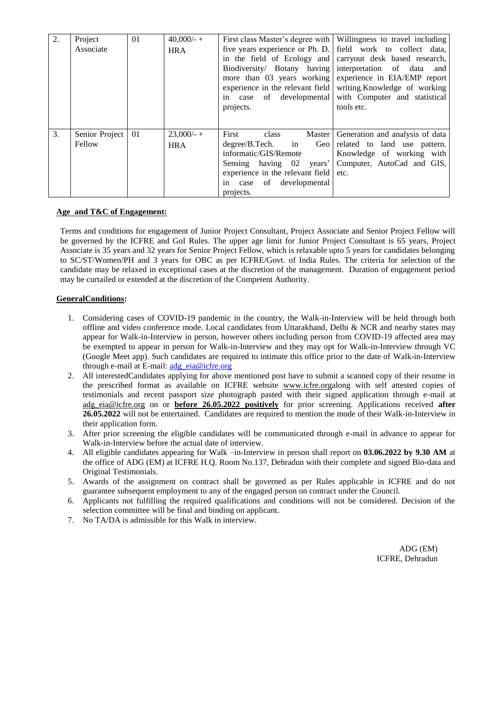| 2. | Project<br>Associate     | 01 | $40,000/ - +$<br><b>HRA</b> | Biodiversity/ Botany having interpretation of data                                                                                                     | First class Master's degree with   Willingness to travel including<br>five years experience or Ph. D. Field work to collect data,<br>in the field of Ecology and carryout desk based research,<br>and<br>more than 03 years working experience in EIA/EMP report<br>experience in the relevant field writing. Knowledge of working |
|----|--------------------------|----|-----------------------------|--------------------------------------------------------------------------------------------------------------------------------------------------------|------------------------------------------------------------------------------------------------------------------------------------------------------------------------------------------------------------------------------------------------------------------------------------------------------------------------------------|
|    |                          |    |                             | in case of developmental<br>projects.                                                                                                                  | with Computer and statistical<br>tools etc.                                                                                                                                                                                                                                                                                        |
| 3. | Senior Project<br>Fellow | 01 | $23,000/ - +$<br><b>HRA</b> | First<br>class<br>Master<br>in<br>degree/B.Tech.<br>informatic/GIS/Remote<br>experience in the relevant field<br>in case of developmental<br>projects. | Generation and analysis of data<br>Geo related to land use pattern.<br>Knowledge of working with<br>Sensing having 02 years' Computer, AutoCad and GIS,<br>etc.                                                                                                                                                                    |

#### **Age and T&C of Engagement:**

Terms and conditions for engagement of Junior Project Consultant, Project Associate and Senior Project Fellow will be governed by the ICFRE and GoI Rules. The upper age limit for Junior Project Consultant is 65 years, Project Associate is 35 years and 32 years for Senior Project Fellow, which is relaxable upto 5 years for candidates belonging to SC/ST/Women/PH and 3 years for OBC as per ICFRE/Govt. of India Rules. The criteria for selection of the candidate may be relaxed in exceptional cases at the discretion of the management. Duration of engagement period may be curtailed or extended at the discretion of the Competent Authority.

#### **GeneralConditions:**

- 1. Considering cases of COVID-19 pandemic in the country, the Walk-in-Interview will be held through both offline and video conference mode. Local candidates from Uttarakhand, Delhi & NCR and nearby states may appear for Walk-in-Interview in person, however others including person from COVID-19 affected area may be exempted to appear in person for Walk-in-Interview and they may opt for Walk-in-Interview through VC (Google Meet app). Such candidates are required to intimate this office prior to the date of Walk-in-Interview through e-mail at E-mail: [adg\\_eia@icfre.org](mailto:adg_eia@icfre.org)
- 2. All interestedCandidates applying for above mentioned post have to submit a scanned copy of their resume in the prescribed format as available on ICFRE website [www.icfre.orga](http://www.icfre.org/)long with self attested copies of testimonials and recent passport size photograph pasted with their signed application through e-mail at [adg\\_eia@icfre.org](mailto:adg_eia@icfre.org) on or **before 26.05.2022 positively** for prior screening. Applications received **after 26.05.2022** will not be entertained. Candidates are required to mention the mode of their Walk-in-Interview in their application form.
- 3. After prior screening the eligible candidates will be communicated through e-mail in advance to appear for Walk-in-Interview before the actual date of interview.
- 4. All eligible candidates appearing for Walk –in-Interview in person shall report on **03.06.2022 by 9.30 AM** at the office of ADG (EM) at ICFRE H.Q. Room No.137, Dehradun with their complete and signed Bio-data and Original Testimonials.
- 5. Awards of the assignment on contract shall be governed as per Rules applicable in ICFRE and do not guarantee subsequent employment to any of the engaged person on contract under the Council.
- 6. Applicants not fulfilling the required qualifications and conditions will not be considered. Decision of the selection committee will be final and binding on applicant.
- 7. No TA/DA is admissible for this Walk in interview.

ADG (EM) ICFRE, Dehradun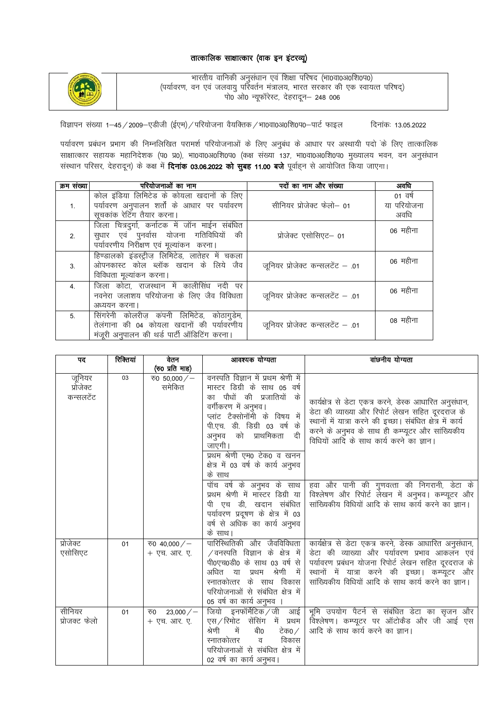#### तात्कालिक साक्षात्कार (वाक इन इंटरव्यू)



भारतीय वानिकी अनुसंधान एवं शिक्षा परिषद (भा0वा0अ0शि0प0) (पर्यावरण, वन एवं जलवायु पर्रिवर्तन मंत्रालय, भारत सरकार की एक स्वायत्त परिषद्) पो0 ओ0 न्यूफॉरेस्ट, देहरादून- 248 006

विज्ञापन संख्या 1-45 / 2009-एडीजी (ईएम) / परियोजना वैयक्तिक / भा0वा0अ0शि0प0-पार्ट फाइल दिनांकः 13.05.2022

पर्यावरण प्रबंधन प्रभाग की निम्नलिखित परामर्श परियोजनाओं के लिए अनुबंध के आधार पर अस्थायी पदो के लिए तात्कालिक साक्षात्कार सहायक महानिदेशक (प0 प्र0), भा0वा0अ0शि0प0 (कक्ष संख्या 137, भा0वा0अ0शि0प0 मुख्यालय भवन, वन अनुसंधान संस्थान परिसर, देहरादून) के कक्ष में **दिनांक 03.06.2022 को सुबह 11.00 बजे** पूर्वाहन से आयोजित किया जाएगा।

| क्रम संख्या    | परियोजनाओं का नाम                                                                                                                      | पदों का नाम और संख्या            | अवधि                           |
|----------------|----------------------------------------------------------------------------------------------------------------------------------------|----------------------------------|--------------------------------|
| 1.             | कोल इंडिया लिमिटेड के कोयला खदानों के लिए<br>पर्यावरण अनुपालन शर्तों के आधार पर पर्यावरण<br>सूचकांक रेटिंग तैयार करना।                 | सीनियर प्रोजेक्ट फेलो- 01        | 01 वर्ष<br>या परियोजना<br>अवधि |
| 2.             | जिला चित्रदुर्गा, कर्नाटक में जॉन माईन संबंधित<br>सुधार एवं पुनर्वास योजना गतिविधियों की<br>पर्यावरणीय निरीक्षण एवं मूल्यांकन करना।    | प्रोजेक्ट एसोसिएट– 01            | 06 महीना                       |
| 3.             | हिण्डालको इंडस्ट्रीज लिमिटेड, लातेहर में चकला<br>ओपनकास्ट कोल ब्लॉक खदान के लिये जैव<br>विविधता मूल्यांकन करना।                        | जूनियर प्रोजेक्ट कन्सलटेंट - .01 | 06 महीना                       |
| $\overline{4}$ | जिला कोटा, राजस्थान में कालीसिंध नदी पर<br>नवनेरा जलाशय परियोजना के लिए जैव विविधता<br>अध्ययन करना।                                    | जूनियर प्रोजेक्ट कन्सलटेंट - .01 | 06 महीना                       |
| 5.             | सिंगरेनी कोलरीज़ कंपनी लिमिटेड, कोठागुडेम,<br>तेलंगाना की 04 कोयला खदानों की पर्यावरणीय<br>मंजूरी अनुपालन की थर्ड पार्टी ऑडिटिंग करना। | जूनियर प्रोजेक्ट कन्सलटेंट - .01 | 08 महीना                       |

| पद                               | रिक्तियां | वेतन                         | आवश्यक योग्यता                                                                                                                                                                                                                                                                                                     | वांछनीय योग्यता                                                                                                                                                                                                                                                          |
|----------------------------------|-----------|------------------------------|--------------------------------------------------------------------------------------------------------------------------------------------------------------------------------------------------------------------------------------------------------------------------------------------------------------------|--------------------------------------------------------------------------------------------------------------------------------------------------------------------------------------------------------------------------------------------------------------------------|
|                                  |           | (रु0 प्रति माह)              |                                                                                                                                                                                                                                                                                                                    |                                                                                                                                                                                                                                                                          |
| जूनियर<br>प्रोजेक्ट<br>कन्सलटेंट | 03        | रु0 50,000/-<br>समेकित       | वनस्पति विज्ञान में प्रथम श्रेणी में<br>मास्टर डिग्री के साथ 05 वर्ष<br>के<br>का पौधों की प्रजातियों<br>वर्गीकरण में अनुभव।<br>प्लांट टैक्सोनॉमी के विषय में<br>पी.एच. डी. डिग्री 03 वर्ष के<br>दी<br>अनुभव को प्राथमिकता<br>जाएगी।<br>प्रथम श्रेणी एम0 टेक0 व खनन<br>क्षेत्र में 03 वर्ष के कार्य अनुभव<br>के साथ | कार्यक्षेत्र से डेटा एकत्र करने, डेस्क आधारित अनुसंधान,<br>डेटा की व्याख्या और रिपोर्ट लेखन सहित दूरदराज के<br>स्थानों में यात्रा करने की इच्छा। संबंधित क्षेत्र में कार्य<br>करने के अनुभव के साथ ही कम्प्यूटर और सांख्यिकीय<br>विधियों आदि के साथ कार्य करने का ज्ञान। |
|                                  |           |                              | पॉच वर्ष के अनुभव के साथ<br>प्रथम श्रेणी में मास्टर डिग्री या<br>पी एच डी, खदान संबंधित<br>पर्यावरण प्रदूषण के क्षेत्र में 03<br>वर्ष से अधिक का कार्य अनुभव<br>के साथ।                                                                                                                                            | हवा और पानी की गुणवत्ता की निगरानी, डेटा के<br>विश्लेषण और रिपोर्ट लेखन में अनुभव। कम्प्यूटर और<br>सांख्यिकीय विधियों आदि के साथ कार्य करने का ज्ञान।                                                                                                                    |
| प्रोजेक्ट<br>एसोसिएट             | 01        | रु0 40,000/-<br>+ एच. आर. ए. | पारिस्थितिकी और जैवविविधता<br>$\sqrt{ }$ वनस्पति विज्ञान के क्षेत्र में<br>पी0एच0डी0 के साथ 03 वर्ष से<br>श्रेणी<br>में<br>अधित या<br>प्रथम<br>स्नातकोत्तर के साथ विकास<br>परियोजनाओं से संबंधित क्षेत्र में<br>05 वर्ष का कार्य अनुभव ।                                                                           | कार्यक्षेत्र से डेटा एकत्र करने, डेस्क आधारित अनुसंधान,<br>डेटा की व्याख्या और पर्यावरण प्रभाव आकलन एवं<br>पर्यावरण प्रबंधन योजना रिपोर्ट लेखन सहित दूरदराज के<br>स्थानों में यात्रा करने की इच्छा। कम्प्यूटर और<br>सांख्यिकीय विधियों आदि के साथ कार्य करने का ज्ञान।   |
| सीनियर<br>प्रोजक्ट फेलो          | 01        | रु0 23,000/-<br>+ एच. आर. ए. | जियो इनफॉर्मेटिक जी आई<br>एस/रिमोट सेंसिंग में प्रथम<br>श्रेणी<br>बी0<br>में<br>टेक0 ⁄<br>विकास<br>स्नातकोत्तर<br>व<br>परियोजनाओं से संबंधित क्षेत्र में<br>02 वर्ष का कार्य अनुभव।                                                                                                                                | भूमि उपयोग पैटर्न से संबंधित डेटा का सृजन और<br>विश्लेषण। कम्प्यूटर पर ऑटोकैड और जी आई एस<br>आदि के साथ कार्य करने का ज्ञान।                                                                                                                                             |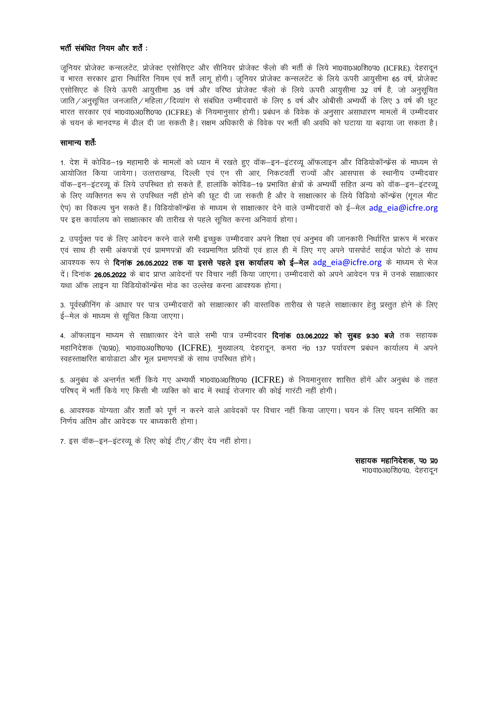#### भर्ती संबंधित नियम और शर्तें :

जुनियर प्रोजेक्ट कन्सलटेंट, प्रोजेक्ट एसोसिएट और सीनियर प्रोजेक्ट फैलो की भर्ती के लिये भा0वा0अ0शि0प0 (ICFRE), देहरादून व भारत सरकार द्वारा निर्धारित नियम एवं शर्तें लागू होंगी। जूनियर प्रोजेक्ट कन्सलटेंट के लिये ऊपरी आयुसीमा 65 वर्ष, प्रोजेक्ट एसोसिएट के लिये ऊपरी आयुसीमा 35 वर्ष और वरिष्ठ प्रोजेक्ट फैलो के लिये ऊपरी आयुसीमा 32 वर्ष है, जो अनुसुचित जाति/अनसचित जनजाति/महिला/दिव्यांग से संबंधित उम्मीदवारों के लिए 5 वर्ष और ओबीसी अभ्यर्थी के लिए 3 वर्ष की छट भारत सरकार एवं भा0वा0अ0शि0प0 (ICFRE) के नियमानुसार होगी। प्रबंधन के विवेक के अनुसार असाधारण मामलों में उम्मीदवार के चयन के मानदण्ड में ढील दी जा सकती है। सक्षम अधिकारी के विवेक पर भर्ती की अवधि को घटाया या बढाया जा सकता है।

#### सामान्य शर्तें:

1. देश में कोविड–19 महामारी के मामलों को ध्यान में रखते हुए वॉक–इन–इंटरव्यू ऑफलाइन और विडियोकॉन्फ्रेंस के माध्यम से आयोजित किया जायेगा। उत्तराखण्ड, दिल्ली एवं एन सी आर, निकटवर्ती राज्यों और आसपास के स्थानीय उम्मीदवार वॉक-इन-इंटरव्यू के लिये उपस्थित हो सकते हैं, हालांकि कोविड-19 प्रभावित क्षेत्रों के अभ्यर्थी सहित अन्य को वॉक-इन-इंटरव्यू के लिए व्यक्तिगत रूप से उपस्थित नहीं होने की छूट दी जा सकती है और वे साक्षात्कार के लिये विडियो कॉन्फ्रेंस (गूगल मीट ऐप) का विकल्प चुन सकते हैं। विडियोकॉन्फ्रेंस के माध्यम से साक्षात्कार देने वाले उम्मीदवारों को ई—मेल adg eia@icfre.org पर इस कार्यालय को साक्षात्कार की तारीख से पहले सुचित करना अनिवार्य होगा।

2. उपर्युक्त पद के लिए आवेदन करने वाले सभी इच्छुक उम्मीदवार अपने शिक्षा एवं अनुभव की जानकारी निर्धारित प्रारूप में भरकर एवं साथ ही सभी अंकपत्रों एवं प्रामणपत्रों की स्वप्रमाणित प्रतियों एवं हाल ही में लिए गए अपने पासपोर्ट साईज फोटो के साथ आवश्यक रूप से **दिनांक 26.05.2022 तक या इससे पहले इस कार्यालय को ई—मेल adg eia@icfre.org के माध्यम से भेज** दें। दिनांक 26.05.2022 के बाद प्राप्त आवेदनों पर विचार नहीं किया जाएगा। उम्मीदवारों को अपने आवेदन पत्र में उनके साक्षात्कार यथा ऑफ लाइन या विडियोकॉन्फ्रेंस मोड का उल्लेख करना आवश्यक होगा।

3. पूर्वस्क्रीनिंग के आधार पर पात्र उम्मीदवारों को साक्षात्कार की वास्तविक तारीख से पहले साक्षात्कार हेतु प्रस्तुत होने के लिए ई-मेल के माध्यम से सूचित किया जाएगा।

4. ऑफलाइन माध्यम से साक्षात्कार देने वाले सभी पात्र उम्मीदवार **दिनांक 03.06.2022 को सुबह 9:30 बजे** तक सहायक महानिदेशक (प0प्र0), भा0वा0अ0शि0प0 (ICFRE), मुख्यालय, देहरादून, कमरा नं0 137 पर्यावरण प्रबंधन कार्यालय में अपने स्वहस्ताक्षरित बायोडाटा और मूल प्रमाणपत्रों के साथ उपस्थित होंगे।

5. अनुबंध के अन्तर्गत भर्ती किये गए अभ्यर्थी भा0वा0अ0शि0प0 (ICFRE) के नियमानुसार शासित होंगें और अनुबंध के तहत परिषद में भर्ती किये गए किसी भी व्यक्ति को बाद में स्थाई रोजगार की कोई गारंटी नहीं होगी।

6. आवश्यक योग्यता और शर्तों को पर्ण न करने वाले आवेदकों पर विचार नहीं किया जाएगा। चयन के लिए चयन समिति का निर्णय अंतिम और आवेदक पर बाध्यकारी होगा।

7. इस वॉक-इन-इंटरव्यू के लिए कोई टीए / डीए देय नहीं होगा।

सहायक महानिदेशक, प0 प्र0 भा0वा0अ0शि0प0, देहरादन